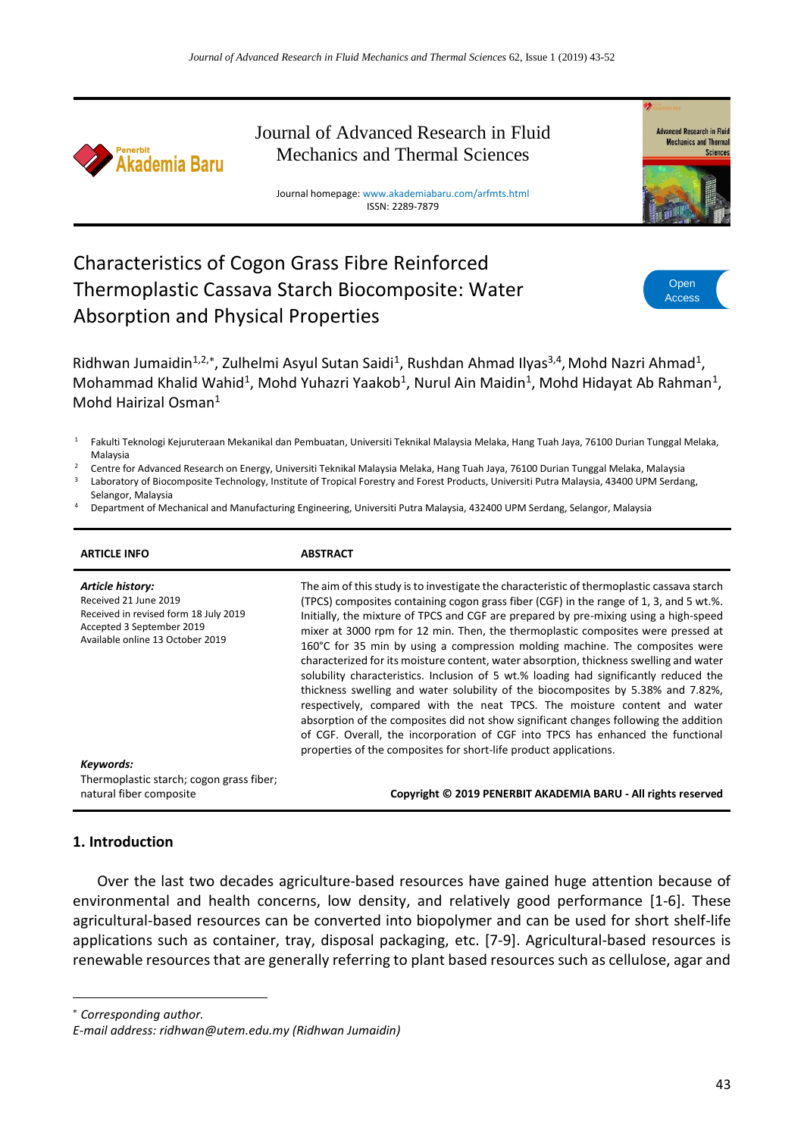

Journal of Advanced Research in Fluid Mechanics and Thermal Sciences

Journal homepage: www.akademiabaru.com/arfmts.html ISSN: 2289-7879



# Characteristics of Cogon Grass Fibre Reinforced Thermoplastic Cassava Starch Biocomposite: Water Absorption and Physical Properties



Ridhwan Jumaidin<sup>1,2,\*</sup>, Zulhelmi Asyul Sutan Saidi<sup>1</sup>, Rushdan Ahmad Ilyas<sup>3,4</sup>, Mohd Nazri Ahmad<sup>1</sup>, Mohammad Khalid Wahid<sup>1</sup>, Mohd Yuhazri Yaakob<sup>1</sup>, Nurul Ain Maidin<sup>1</sup>, Mohd Hidayat Ab Rahman<sup>1</sup>, Mohd Hairizal Osman $<sup>1</sup>$ </sup>

<sup>1</sup> Fakulti Teknologi Kejuruteraan Mekanikal dan Pembuatan, Universiti Teknikal Malaysia Melaka, Hang Tuah Jaya, 76100 Durian Tunggal Melaka, Malaysia

- <sup>2</sup> Centre for Advanced Research on Energy, Universiti Teknikal Malaysia Melaka, Hang Tuah Jaya, 76100 Durian Tunggal Melaka, Malaysia Laboratory of Biocomposite Technology, Institute of Tropical Forestry and Forest Products, Universiti Putra Malaysia, 43400 UPM Serdang,
- Selangor, Malaysia
- <sup>4</sup> Department of Mechanical and Manufacturing Engineering, Universiti Putra Malaysia, 432400 UPM Serdang, Selangor, Malaysia

| <b>ARTICLE INFO</b>                                                                                                                                 | <b>ABSTRACT</b>                                                                                                                                                                                                                                                                                                                                                                                                                                                                                                                                                                                                                                                                                                                                                                                                                                                                                                                                                                                                                                      |
|-----------------------------------------------------------------------------------------------------------------------------------------------------|------------------------------------------------------------------------------------------------------------------------------------------------------------------------------------------------------------------------------------------------------------------------------------------------------------------------------------------------------------------------------------------------------------------------------------------------------------------------------------------------------------------------------------------------------------------------------------------------------------------------------------------------------------------------------------------------------------------------------------------------------------------------------------------------------------------------------------------------------------------------------------------------------------------------------------------------------------------------------------------------------------------------------------------------------|
| Article history:<br>Received 21 June 2019<br>Received in revised form 18 July 2019<br>Accepted 3 September 2019<br>Available online 13 October 2019 | The aim of this study is to investigate the characteristic of thermoplastic cassava starch<br>(TPCS) composites containing cogon grass fiber (CGF) in the range of 1, 3, and 5 wt.%.<br>Initially, the mixture of TPCS and CGF are prepared by pre-mixing using a high-speed<br>mixer at 3000 rpm for 12 min. Then, the thermoplastic composites were pressed at<br>160°C for 35 min by using a compression molding machine. The composites were<br>characterized for its moisture content, water absorption, thickness swelling and water<br>solubility characteristics. Inclusion of 5 wt.% loading had significantly reduced the<br>thickness swelling and water solubility of the biocomposites by 5.38% and 7.82%,<br>respectively, compared with the neat TPCS. The moisture content and water<br>absorption of the composites did not show significant changes following the addition<br>of CGF. Overall, the incorporation of CGF into TPCS has enhanced the functional<br>properties of the composites for short-life product applications. |
| Keywords:<br>Thermoplastic starch; cogon grass fiber;<br>natural fiber composite                                                                    | Copyright © 2019 PENERBIT AKADEMIA BARU - All rights reserved                                                                                                                                                                                                                                                                                                                                                                                                                                                                                                                                                                                                                                                                                                                                                                                                                                                                                                                                                                                        |

### **1. Introduction**

Over the last two decades agriculture-based resources have gained huge attention because of environmental and health concerns, low density, and relatively good performance [1-6]. These agricultural-based resources can be converted into biopolymer and can be used for short shelf-life applications such as container, tray, disposal packaging, etc. [7-9]. Agricultural-based resources is renewable resources that are generally referring to plant based resources such as cellulose, agar and

*Corresponding author.*

**.** 

*E-mail address: ridhwan@utem.edu.my (Ridhwan Jumaidin)*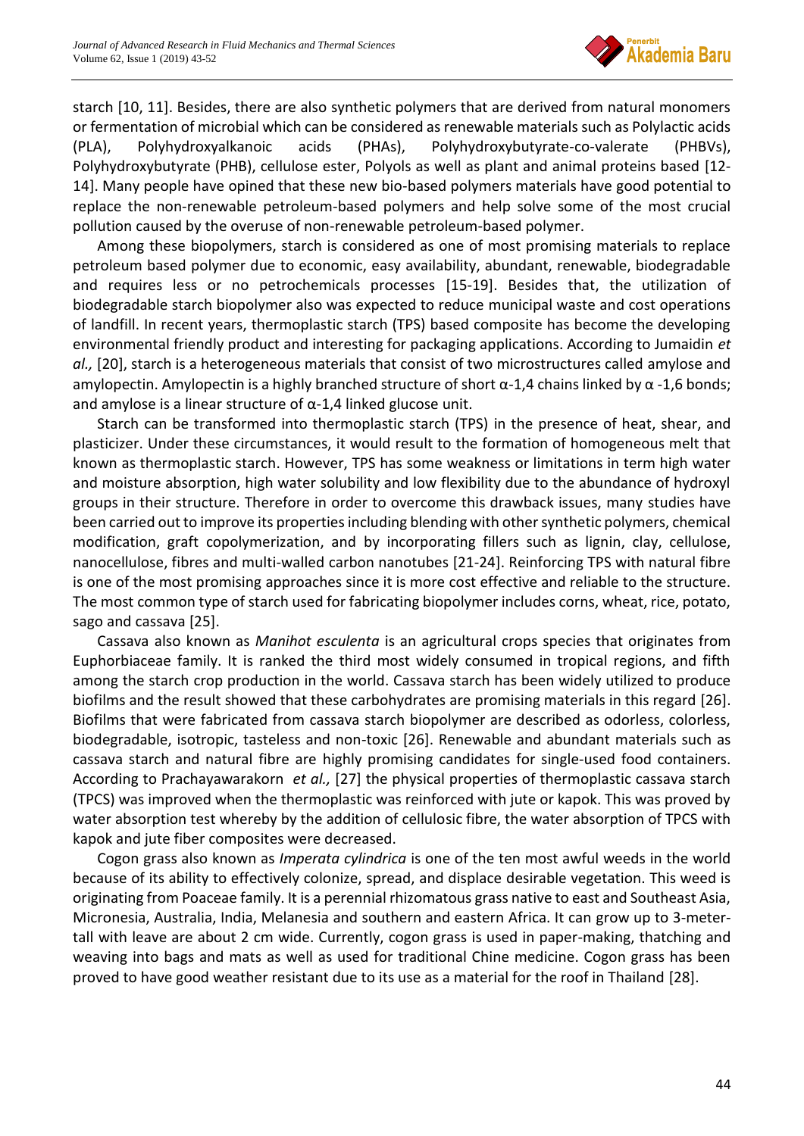

starch [10, 11]. Besides, there are also synthetic polymers that are derived from natural monomers or fermentation of microbial which can be considered as renewable materials such as Polylactic acids (PLA), Polyhydroxyalkanoic acids (PHAs), Polyhydroxybutyrate-co-valerate (PHBVs), Polyhydroxybutyrate (PHB), cellulose ester, Polyols as well as plant and animal proteins based [12- 14]. Many people have opined that these new bio-based polymers materials have good potential to replace the non-renewable petroleum-based polymers and help solve some of the most crucial pollution caused by the overuse of non-renewable petroleum-based polymer.

Among these biopolymers, starch is considered as one of most promising materials to replace petroleum based polymer due to economic, easy availability, abundant, renewable, biodegradable and requires less or no petrochemicals processes [15-19]. Besides that, the utilization of biodegradable starch biopolymer also was expected to reduce municipal waste and cost operations of landfill. In recent years, thermoplastic starch (TPS) based composite has become the developing environmental friendly product and interesting for packaging applications. According to Jumaidin *et al.,* [20], starch is a heterogeneous materials that consist of two microstructures called amylose and amylopectin. Amylopectin is a highly branched structure of short  $\alpha$ -1,4 chains linked by  $\alpha$ -1,6 bonds; and amylose is a linear structure of  $\alpha$ -1,4 linked glucose unit.

Starch can be transformed into thermoplastic starch (TPS) in the presence of heat, shear, and plasticizer. Under these circumstances, it would result to the formation of homogeneous melt that known as thermoplastic starch. However, TPS has some weakness or limitations in term high water and moisture absorption, high water solubility and low flexibility due to the abundance of hydroxyl groups in their structure. Therefore in order to overcome this drawback issues, many studies have been carried out to improve its properties including blending with other synthetic polymers, chemical modification, graft copolymerization, and by incorporating fillers such as lignin, clay, cellulose, nanocellulose, fibres and multi-walled carbon nanotubes [21-24]. Reinforcing TPS with natural fibre is one of the most promising approaches since it is more cost effective and reliable to the structure. The most common type of starch used for fabricating biopolymer includes corns, wheat, rice, potato, sago and cassava [25].

Cassava also known as *Manihot esculenta* is an agricultural crops species that originates from Euphorbiaceae family. It is ranked the third most widely consumed in tropical regions, and fifth among the starch crop production in the world. Cassava starch has been widely utilized to produce biofilms and the result showed that these carbohydrates are promising materials in this regard [26]. Biofilms that were fabricated from cassava starch biopolymer are described as odorless, colorless, biodegradable, isotropic, tasteless and non-toxic [26]. Renewable and abundant materials such as cassava starch and natural fibre are highly promising candidates for single-used food containers. According to Prachayawarakorn *et al.,* [27] the physical properties of thermoplastic cassava starch (TPCS) was improved when the thermoplastic was reinforced with jute or kapok. This was proved by water absorption test whereby by the addition of cellulosic fibre, the water absorption of TPCS with kapok and jute fiber composites were decreased.

Cogon grass also known as *Imperata cylindrica* is one of the ten most awful weeds in the world because of its ability to effectively colonize, spread, and displace desirable vegetation. This weed is originating from Poaceae family. It is a perennial rhizomatous grass native to east and Southeast Asia, Micronesia, Australia, India, Melanesia and southern and eastern Africa. It can grow up to 3-metertall with leave are about 2 cm wide. Currently, cogon grass is used in paper-making, thatching and weaving into bags and mats as well as used for traditional Chine medicine. Cogon grass has been proved to have good weather resistant due to its use as a material for the roof in Thailand [28].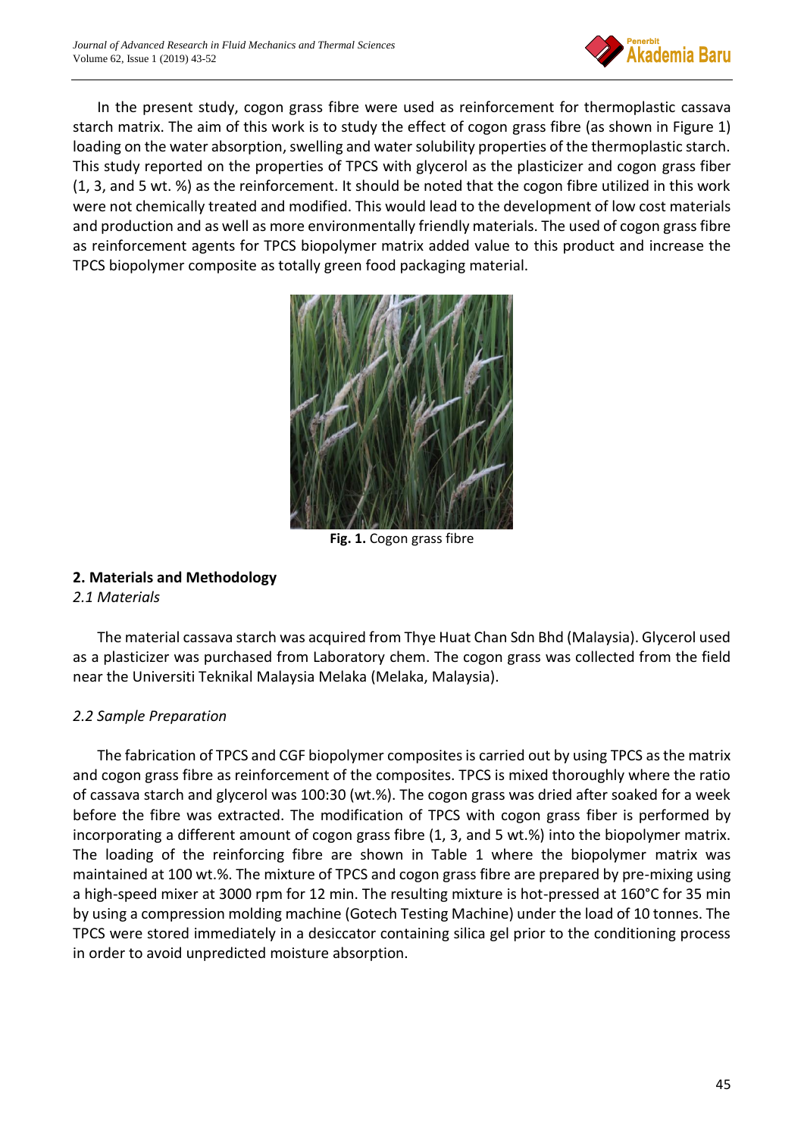

In the present study, cogon grass fibre were used as reinforcement for thermoplastic cassava starch matrix. The aim of this work is to study the effect of cogon grass fibre (as shown in Figure 1) loading on the water absorption, swelling and water solubility properties of the thermoplastic starch. This study reported on the properties of TPCS with glycerol as the plasticizer and cogon grass fiber (1, 3, and 5 wt. %) as the reinforcement. It should be noted that the cogon fibre utilized in this work were not chemically treated and modified. This would lead to the development of low cost materials and production and as well as more environmentally friendly materials. The used of cogon grass fibre as reinforcement agents for TPCS biopolymer matrix added value to this product and increase the TPCS biopolymer composite as totally green food packaging material.



**Fig. 1.** Cogon grass fibre

# **2. Materials and Methodology**

## *2.1 Materials*

The material cassava starch was acquired from Thye Huat Chan Sdn Bhd (Malaysia). Glycerol used as a plasticizer was purchased from Laboratory chem. The cogon grass was collected from the field near the Universiti Teknikal Malaysia Melaka (Melaka, Malaysia).

# *2.2 Sample Preparation*

The fabrication of TPCS and CGF biopolymer composites is carried out by using TPCS as the matrix and cogon grass fibre as reinforcement of the composites. TPCS is mixed thoroughly where the ratio of cassava starch and glycerol was 100:30 (wt.%). The cogon grass was dried after soaked for a week before the fibre was extracted. The modification of TPCS with cogon grass fiber is performed by incorporating a different amount of cogon grass fibre (1, 3, and 5 wt.%) into the biopolymer matrix. The loading of the reinforcing fibre are shown in Table 1 where the biopolymer matrix was maintained at 100 wt.%. The mixture of TPCS and cogon grass fibre are prepared by pre-mixing using a high-speed mixer at 3000 rpm for 12 min. The resulting mixture is hot-pressed at 160°C for 35 min by using a compression molding machine (Gotech Testing Machine) under the load of 10 tonnes. The TPCS were stored immediately in a desiccator containing silica gel prior to the conditioning process in order to avoid unpredicted moisture absorption.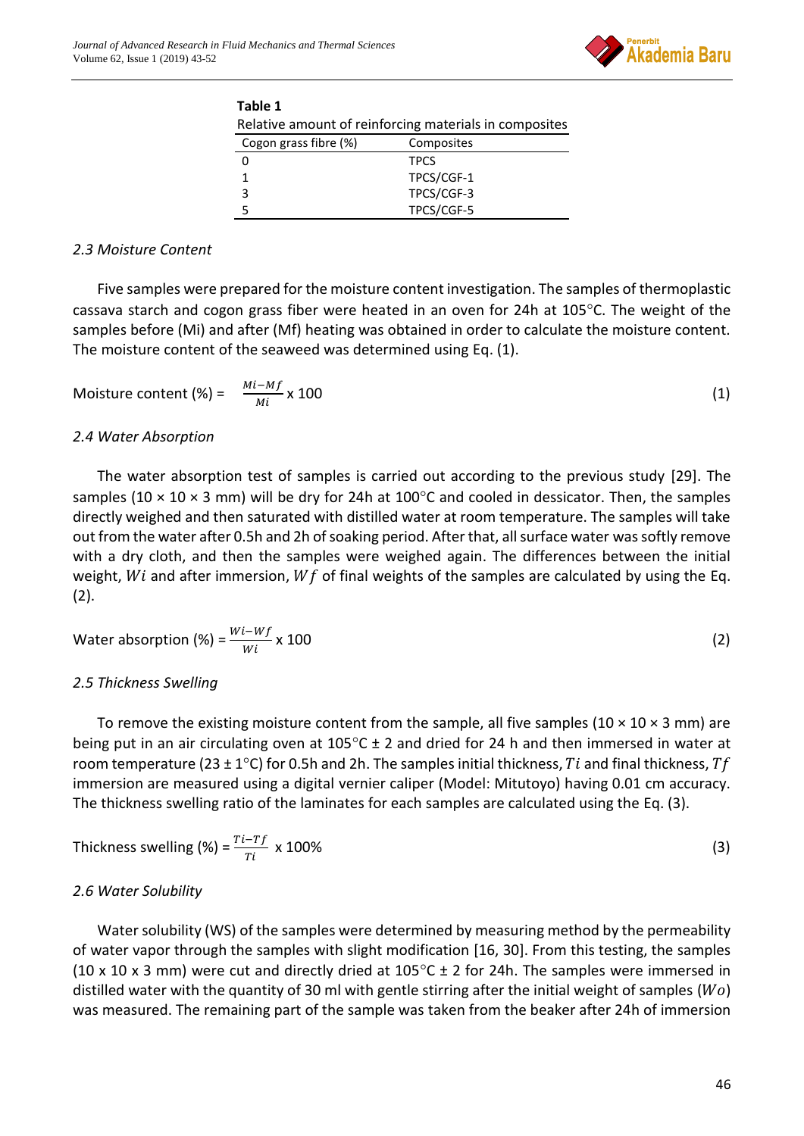

| Table 1                                                |             |  |
|--------------------------------------------------------|-------------|--|
| Relative amount of reinforcing materials in composites |             |  |
| Cogon grass fibre (%)                                  | Composites  |  |
|                                                        | <b>TPCS</b> |  |
|                                                        | TPCS/CGF-1  |  |
|                                                        | TPCS/CGF-3  |  |
|                                                        | TPCS/CGF-5  |  |

# *2.3 Moisture Content*

Five samples were prepared for the moisture content investigation. The samples of thermoplastic cassava starch and cogon grass fiber were heated in an oven for 24h at  $105^{\circ}$ C. The weight of the samples before (Mi) and after (Mf) heating was obtained in order to calculate the moisture content. The moisture content of the seaweed was determined using Eq. (1).

$$
Moisture content (\%) = \frac{Mi - Mf}{Mi} \times 100 \tag{1}
$$

## *2.4 Water Absorption*

The water absorption test of samples is carried out according to the previous study [29]. The samples (10  $\times$  10  $\times$  3 mm) will be dry for 24h at 100 $^{\circ}$ C and cooled in dessicator. Then, the samples directly weighed and then saturated with distilled water at room temperature. The samples will take out from the water after 0.5h and 2h of soaking period. After that, all surface water was softly remove with a dry cloth, and then the samples were weighed again. The differences between the initial weight,  $Wi$  and after immersion,  $Wf$  of final weights of the samples are calculated by using the Eq. (2).

Water absorption (%) = 
$$
\frac{Wi - Wf}{Wi}
$$
 x 100 (2)

## *2.5 Thickness Swelling*

To remove the existing moisture content from the sample, all five samples (10  $\times$  10  $\times$  3 mm) are being put in an air circulating oven at  $105^{\circ}$ C ± 2 and dried for 24 h and then immersed in water at room temperature (23 ± 1°C) for 0.5h and 2h. The samples initial thickness, Ti and final thickness, Tf immersion are measured using a digital vernier caliper (Model: Mitutoyo) having 0.01 cm accuracy. The thickness swelling ratio of the laminates for each samples are calculated using the Eq. (3).

Thichness switching (%) = 
$$
\frac{Ti - Tf}{Ti} \times 100\%
$$
 (3)

## *2.6 Water Solubility*

Water solubility (WS) of the samples were determined by measuring method by the permeability of water vapor through the samples with slight modification [16, 30]. From this testing, the samples (10 x 10 x 3 mm) were cut and directly dried at  $105^{\circ}$ C ± 2 for 24h. The samples were immersed in distilled water with the quantity of 30 ml with gentle stirring after the initial weight of samples ( $Wo$ ) was measured. The remaining part of the sample was taken from the beaker after 24h of immersion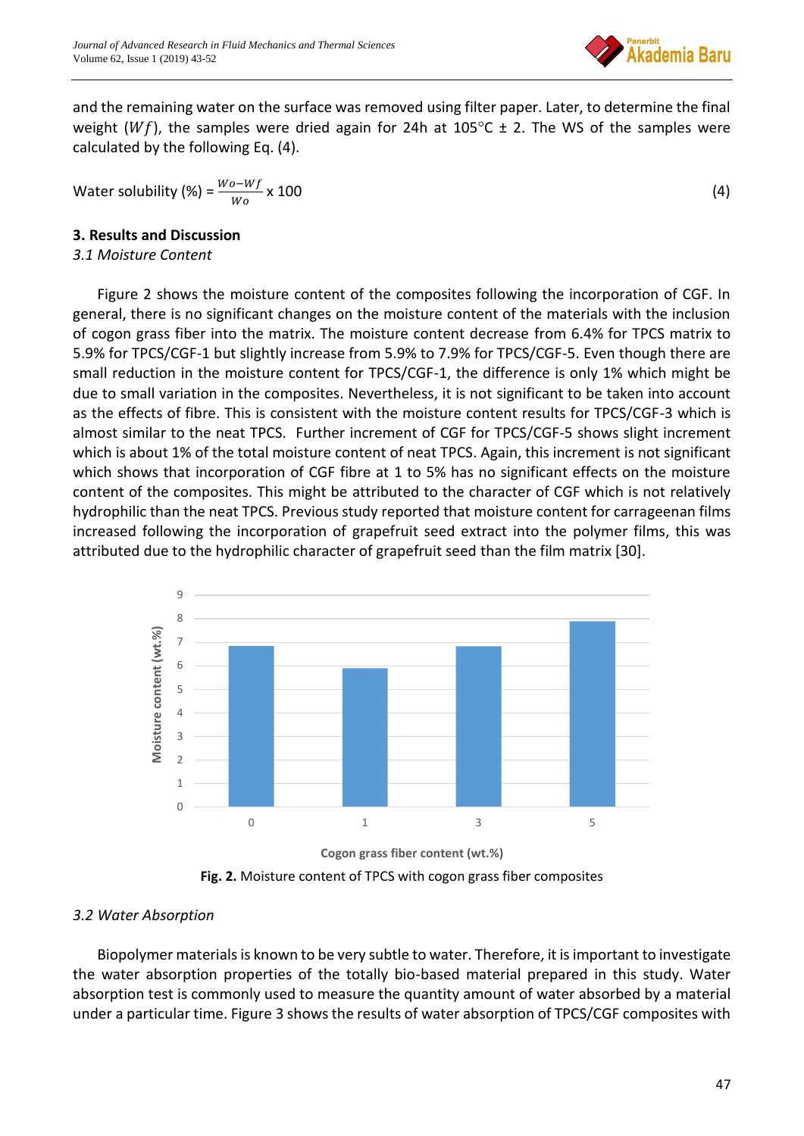

and the remaining water on the surface was removed using filter paper. Later, to determine the final weight (Wf), the samples were dried again for 24h at 105°C  $\pm$  2. The WS of the samples were calculated by the following Eq. (4).

Water solubility (%) = 
$$
\frac{Wo - Wf}{Wo} \times 100
$$
 (4)

# **3. Results and Discussion**

# *3.1 Moisture Content*

Figure 2 shows the moisture content of the composites following the incorporation of CGF. In general, there is no significant changes on the moisture content of the materials with the inclusion of cogon grass fiber into the matrix. The moisture content decrease from 6.4% for TPCS matrix to 5.9% for TPCS/CGF-1 but slightly increase from 5.9% to 7.9% for TPCS/CGF-5. Even though there are small reduction in the moisture content for TPCS/CGF-1, the difference is only 1% which might be due to small variation in the composites. Nevertheless, it is not significant to be taken into account as the effects of fibre. This is consistent with the moisture content results for TPCS/CGF-3 which is almost similar to the neat TPCS. Further increment of CGF for TPCS/CGF-5 shows slight increment which is about 1% of the total moisture content of neat TPCS. Again, this increment is not significant which shows that incorporation of CGF fibre at 1 to 5% has no significant effects on the moisture content of the composites. This might be attributed to the character of CGF which is not relatively hydrophilic than the neat TPCS. Previous study reported that moisture content for carrageenan films increased following the incorporation of grapefruit seed extract into the polymer films, this was attributed due to the hydrophilic character of grapefruit seed than the film matrix [30].



**Fig. 2.** Moisture content of TPCS with cogon grass fiber composites

# *3.2 Water Absorption*

Biopolymer materials is known to be very subtle to water. Therefore, it is important to investigate the water absorption properties of the totally bio-based material prepared in this study. Water absorption test is commonly used to measure the quantity amount of water absorbed by a material under a particular time. Figure 3 shows the results of water absorption of TPCS/CGF composites with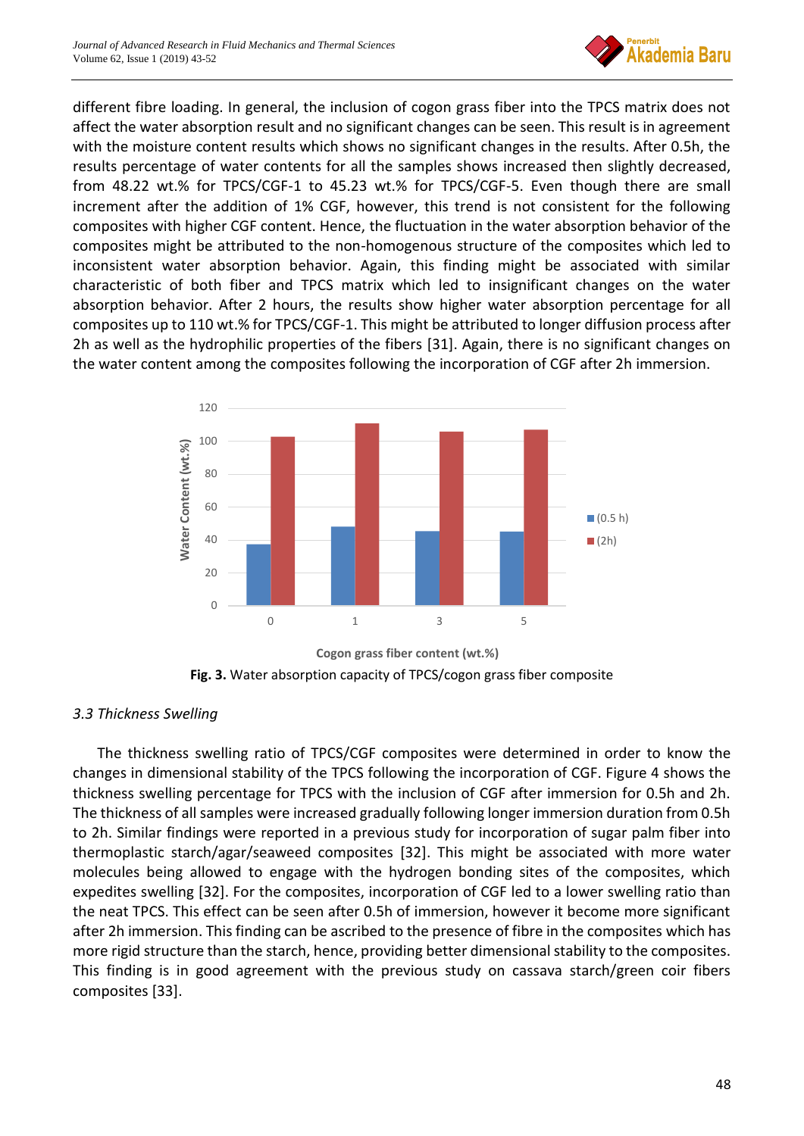

different fibre loading. In general, the inclusion of cogon grass fiber into the TPCS matrix does not affect the water absorption result and no significant changes can be seen. This result is in agreement with the moisture content results which shows no significant changes in the results. After 0.5h, the results percentage of water contents for all the samples shows increased then slightly decreased, from 48.22 wt.% for TPCS/CGF-1 to 45.23 wt.% for TPCS/CGF-5. Even though there are small increment after the addition of 1% CGF, however, this trend is not consistent for the following composites with higher CGF content. Hence, the fluctuation in the water absorption behavior of the composites might be attributed to the non-homogenous structure of the composites which led to inconsistent water absorption behavior. Again, this finding might be associated with similar characteristic of both fiber and TPCS matrix which led to insignificant changes on the water absorption behavior. After 2 hours, the results show higher water absorption percentage for all composites up to 110 wt.% for TPCS/CGF-1. This might be attributed to longer diffusion process after 2h as well as the hydrophilic properties of the fibers [31]. Again, there is no significant changes on the water content among the composites following the incorporation of CGF after 2h immersion.



**Fig. 3.** Water absorption capacity of TPCS/cogon grass fiber composite

# *3.3 Thickness Swelling*

The thickness swelling ratio of TPCS/CGF composites were determined in order to know the changes in dimensional stability of the TPCS following the incorporation of CGF. Figure 4 shows the thickness swelling percentage for TPCS with the inclusion of CGF after immersion for 0.5h and 2h. The thickness of all samples were increased gradually following longer immersion duration from 0.5h to 2h. Similar findings were reported in a previous study for incorporation of sugar palm fiber into thermoplastic starch/agar/seaweed composites [32]. This might be associated with more water molecules being allowed to engage with the hydrogen bonding sites of the composites, which expedites swelling [32]. For the composites, incorporation of CGF led to a lower swelling ratio than the neat TPCS. This effect can be seen after 0.5h of immersion, however it become more significant after 2h immersion. This finding can be ascribed to the presence of fibre in the composites which has more rigid structure than the starch, hence, providing better dimensional stability to the composites. This finding is in good agreement with the previous study on cassava starch/green coir fibers composites [33].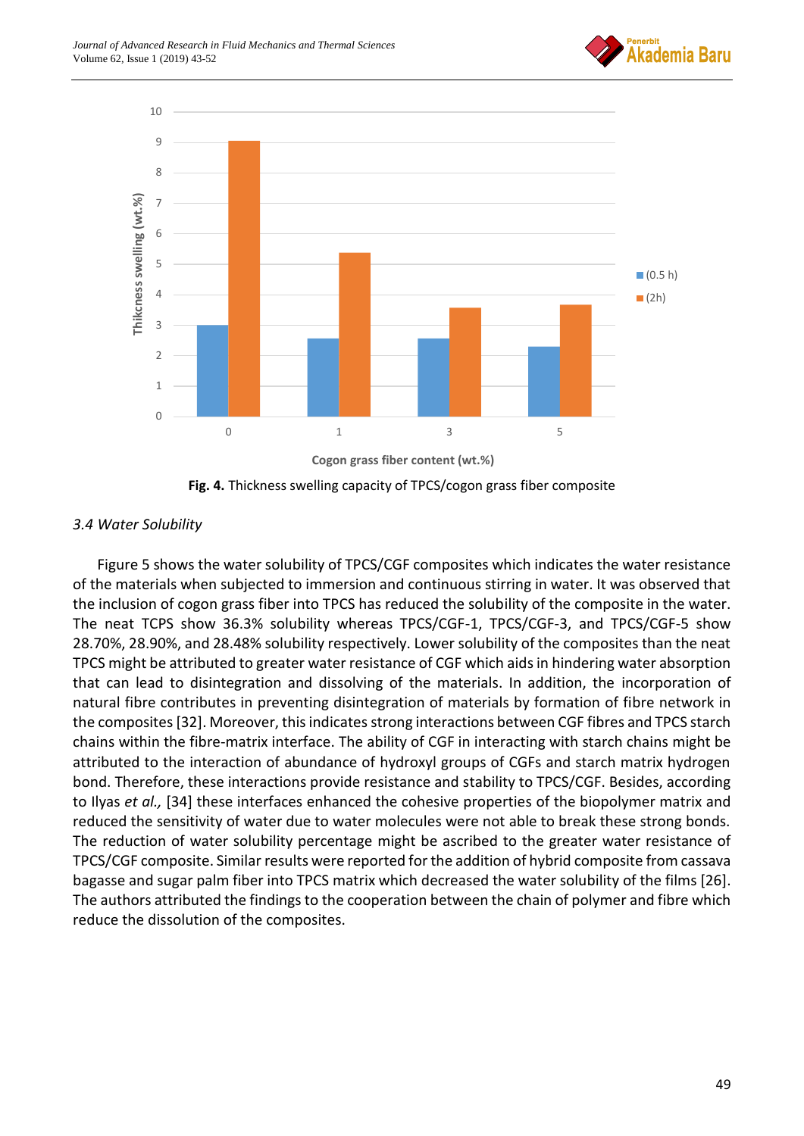



**Fig. 4.** Thickness swelling capacity of TPCS/cogon grass fiber composite

# *3.4 Water Solubility*

Figure 5 shows the water solubility of TPCS/CGF composites which indicates the water resistance of the materials when subjected to immersion and continuous stirring in water. It was observed that the inclusion of cogon grass fiber into TPCS has reduced the solubility of the composite in the water. The neat TCPS show 36.3% solubility whereas TPCS/CGF-1, TPCS/CGF-3, and TPCS/CGF-5 show 28.70%, 28.90%, and 28.48% solubility respectively. Lower solubility of the composites than the neat TPCS might be attributed to greater water resistance of CGF which aids in hindering water absorption that can lead to disintegration and dissolving of the materials. In addition, the incorporation of natural fibre contributes in preventing disintegration of materials by formation of fibre network in the composites [32]. Moreover, this indicates strong interactions between CGF fibres and TPCS starch chains within the fibre-matrix interface. The ability of CGF in interacting with starch chains might be attributed to the interaction of abundance of hydroxyl groups of CGFs and starch matrix hydrogen bond. Therefore, these interactions provide resistance and stability to TPCS/CGF. Besides, according to Ilyas *et al.,* [34] these interfaces enhanced the cohesive properties of the biopolymer matrix and reduced the sensitivity of water due to water molecules were not able to break these strong bonds. The reduction of water solubility percentage might be ascribed to the greater water resistance of TPCS/CGF composite. Similar results were reported for the addition of hybrid composite from cassava bagasse and sugar palm fiber into TPCS matrix which decreased the water solubility of the films [26]. The authors attributed the findings to the cooperation between the chain of polymer and fibre which reduce the dissolution of the composites.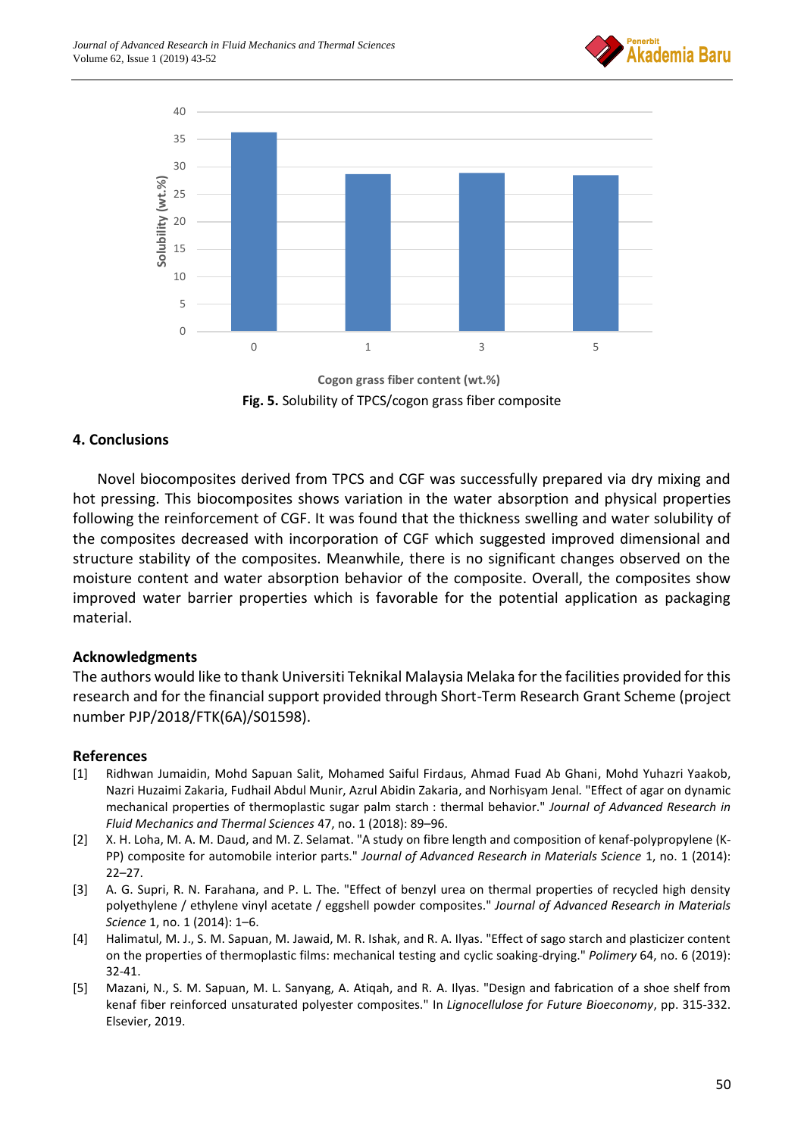



**Fig. 5.** Solubility of TPCS/cogon grass fiber composite **Cogon grass fiber content (wt.%)** 

# **4. Conclusions**

Novel biocomposites derived from TPCS and CGF was successfully prepared via dry mixing and hot pressing. This biocomposites shows variation in the water absorption and physical properties following the reinforcement of CGF. It was found that the thickness swelling and water solubility of the composites decreased with incorporation of CGF which suggested improved dimensional and structure stability of the composites. Meanwhile, there is no significant changes observed on the moisture content and water absorption behavior of the composite. Overall, the composites show improved water barrier properties which is favorable for the potential application as packaging material.

## **Acknowledgments**

The authors would like to thank Universiti Teknikal Malaysia Melaka for the facilities provided for this research and for the financial support provided through Short-Term Research Grant Scheme (project number PJP/2018/FTK(6A)/S01598).

## **References**

- [1] Ridhwan Jumaidin, Mohd Sapuan Salit, Mohamed Saiful Firdaus, Ahmad Fuad Ab Ghani, Mohd Yuhazri Yaakob, Nazri Huzaimi Zakaria, Fudhail Abdul Munir, Azrul Abidin Zakaria, and Norhisyam Jenal*.* "Effect of agar on dynamic mechanical properties of thermoplastic sugar palm starch : thermal behavior." *Journal of Advanced Research in Fluid Mechanics and Thermal Sciences* 47, no. 1 (2018): 89–96.
- [2] X. H. Loha, M. A. M. Daud, and M. Z. Selamat. "A study on fibre length and composition of kenaf-polypropylene (K-PP) composite for automobile interior parts." *Journal of Advanced Research in Materials Science* 1, no. 1 (2014): 22–27.
- [3] A. G. Supri, R. N. Farahana, and P. L. The. "Effect of benzyl urea on thermal properties of recycled high density polyethylene / ethylene vinyl acetate / eggshell powder composites." *Journal of Advanced Research in Materials Science* 1, no. 1 (2014): 1–6.
- [4] Halimatul, M. J., S. M. Sapuan, M. Jawaid, M. R. Ishak, and R. A. Ilyas. "Effect of sago starch and plasticizer content on the properties of thermoplastic films: mechanical testing and cyclic soaking-drying." *Polimery* 64, no. 6 (2019): 32-41.
- [5] Mazani, N., S. M. Sapuan, M. L. Sanyang, A. Atiqah, and R. A. Ilyas. "Design and fabrication of a shoe shelf from kenaf fiber reinforced unsaturated polyester composites." In *Lignocellulose for Future Bioeconomy*, pp. 315-332. Elsevier, 2019.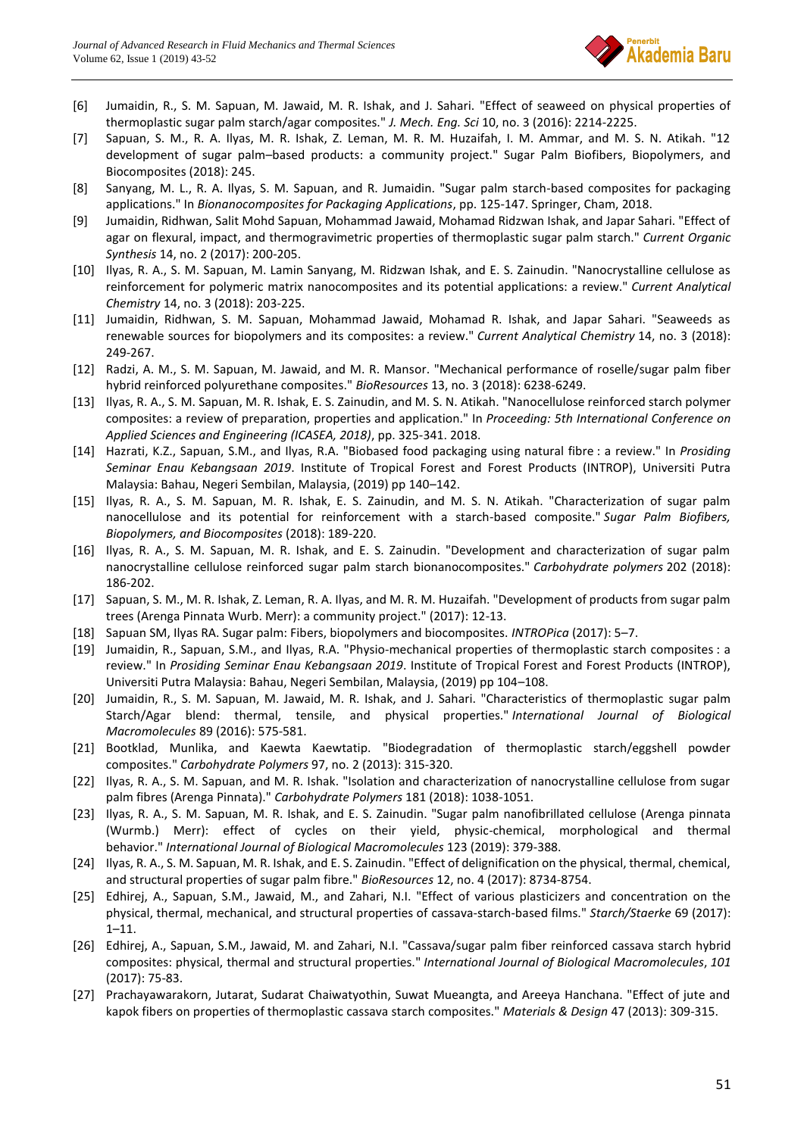

- [6] Jumaidin, R., S. M. Sapuan, M. Jawaid, M. R. Ishak, and J. Sahari. "Effect of seaweed on physical properties of thermoplastic sugar palm starch/agar composites." *J. Mech. Eng. Sci* 10, no. 3 (2016): 2214-2225.
- [7] Sapuan, S. M., R. A. Ilyas, M. R. Ishak, Z. Leman, M. R. M. Huzaifah, I. M. Ammar, and M. S. N. Atikah. "12 development of sugar palm–based products: a community project." Sugar Palm Biofibers, Biopolymers, and Biocomposites (2018): 245.
- [8] Sanyang, M. L., R. A. Ilyas, S. M. Sapuan, and R. Jumaidin. "Sugar palm starch-based composites for packaging applications." In *Bionanocomposites for Packaging Applications*, pp. 125-147. Springer, Cham, 2018.
- [9] Jumaidin, Ridhwan, Salit Mohd Sapuan, Mohammad Jawaid, Mohamad Ridzwan Ishak, and Japar Sahari. "Effect of agar on flexural, impact, and thermogravimetric properties of thermoplastic sugar palm starch." *Current Organic Synthesis* 14, no. 2 (2017): 200-205.
- [10] Ilyas, R. A., S. M. Sapuan, M. Lamin Sanyang, M. Ridzwan Ishak, and E. S. Zainudin. "Nanocrystalline cellulose as reinforcement for polymeric matrix nanocomposites and its potential applications: a review." *Current Analytical Chemistry* 14, no. 3 (2018): 203-225.
- [11] Jumaidin, Ridhwan, S. M. Sapuan, Mohammad Jawaid, Mohamad R. Ishak, and Japar Sahari. "Seaweeds as renewable sources for biopolymers and its composites: a review." *Current Analytical Chemistry* 14, no. 3 (2018): 249-267.
- [12] Radzi, A. M., S. M. Sapuan, M. Jawaid, and M. R. Mansor. "Mechanical performance of roselle/sugar palm fiber hybrid reinforced polyurethane composites." *BioResources* 13, no. 3 (2018): 6238-6249.
- [13] Ilyas, R. A., S. M. Sapuan, M. R. Ishak, E. S. Zainudin, and M. S. N. Atikah. "Nanocellulose reinforced starch polymer composites: a review of preparation, properties and application." In *Proceeding: 5th International Conference on Applied Sciences and Engineering (ICASEA, 2018)*, pp. 325-341. 2018.
- [14] Hazrati, K.Z., Sapuan, S.M., and Ilyas, R.A. "Biobased food packaging using natural fibre : a review." In *Prosiding Seminar Enau Kebangsaan 2019*. Institute of Tropical Forest and Forest Products (INTROP), Universiti Putra Malaysia: Bahau, Negeri Sembilan, Malaysia, (2019) pp 140–142.
- [15] Ilyas, R. A., S. M. Sapuan, M. R. Ishak, E. S. Zainudin, and M. S. N. Atikah. "Characterization of sugar palm nanocellulose and its potential for reinforcement with a starch-based composite." *Sugar Palm Biofibers, Biopolymers, and Biocomposites* (2018): 189-220.
- [16] Ilyas, R. A., S. M. Sapuan, M. R. Ishak, and E. S. Zainudin. "Development and characterization of sugar palm nanocrystalline cellulose reinforced sugar palm starch bionanocomposites." *Carbohydrate polymers* 202 (2018): 186-202.
- [17] Sapuan, S. M., M. R. Ishak, Z. Leman, R. A. Ilyas, and M. R. M. Huzaifah. "Development of products from sugar palm trees (Arenga Pinnata Wurb. Merr): a community project." (2017): 12-13.
- [18] Sapuan SM, Ilyas RA. Sugar palm: Fibers, biopolymers and biocomposites. *INTROPica* (2017): 5–7.
- [19] Jumaidin, R., Sapuan, S.M., and Ilyas, R.A. "Physio-mechanical properties of thermoplastic starch composites : a review." In *Prosiding Seminar Enau Kebangsaan 2019*. Institute of Tropical Forest and Forest Products (INTROP), Universiti Putra Malaysia: Bahau, Negeri Sembilan, Malaysia, (2019) pp 104–108.
- [20] Jumaidin, R., S. M. Sapuan, M. Jawaid, M. R. Ishak, and J. Sahari. "Characteristics of thermoplastic sugar palm Starch/Agar blend: thermal, tensile, and physical properties." *International Journal of Biological Macromolecules* 89 (2016): 575-581.
- [21] Bootklad, Munlika, and Kaewta Kaewtatip. "Biodegradation of thermoplastic starch/eggshell powder composites." *Carbohydrate Polymers* 97, no. 2 (2013): 315-320.
- [22] Ilyas, R. A., S. M. Sapuan, and M. R. Ishak. "Isolation and characterization of nanocrystalline cellulose from sugar palm fibres (Arenga Pinnata)." *Carbohydrate Polymers* 181 (2018): 1038-1051.
- [23] Ilyas, R. A., S. M. Sapuan, M. R. Ishak, and E. S. Zainudin. "Sugar palm nanofibrillated cellulose (Arenga pinnata (Wurmb.) Merr): effect of cycles on their yield, physic-chemical, morphological and thermal behavior." *International Journal of Biological Macromolecules* 123 (2019): 379-388.
- [24] Ilyas, R. A., S. M. Sapuan, M. R. Ishak, and E. S. Zainudin. "Effect of delignification on the physical, thermal, chemical, and structural properties of sugar palm fibre." *BioResources* 12, no. 4 (2017): 8734-8754.
- [25] Edhirej, A., Sapuan, S.M., Jawaid, M., and Zahari, N.I. "Effect of various plasticizers and concentration on the physical, thermal, mechanical, and structural properties of cassava-starch-based films." *Starch/Staerke* 69 (2017): 1–11.
- [26] Edhirej, A., Sapuan, S.M., Jawaid, M. and Zahari, N.I. "Cassava/sugar palm fiber reinforced cassava starch hybrid composites: physical, thermal and structural properties." *International Journal of Biological Macromolecules*, *101* (2017): 75-83.
- [27] Prachayawarakorn, Jutarat, Sudarat Chaiwatyothin, Suwat Mueangta, and Areeya Hanchana. "Effect of jute and kapok fibers on properties of thermoplastic cassava starch composites." *Materials & Design* 47 (2013): 309-315.